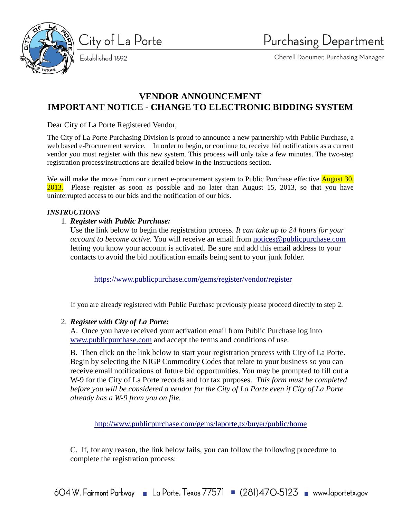

City of La Porte Established 1892

Cherell Daeumer, Purchasing Manager

# **VENDOR ANNOUNCEMENT IMPORTANT NOTICE - CHANGE TO ELECTRONIC BIDDING SYSTEM**

Dear City of La Porte Registered Vendor,

The City of La Porte Purchasing Division is proud to announce a new partnership with Public Purchase, a web based e-Procurement service. In order to begin, or continue to, receive bid notifications as a current vendor you must register with this new system. This process will only take a few minutes. The two-step registration process/instructions are detailed below in the Instructions section.

We will make the move from our current e-procurement system to Public Purchase effective **August 30**, 2013. Please register as soon as possible and no later than August 15, 2013, so that you have uninterrupted access to our bids and the notification of our bids.

## *INSTRUCTIONS*

# 1. *Register with Public Purchase:*

Use the link below to begin the registration process. *It can take up to 24 hours for your account to become active.* You will receive an email from [notices@publicpurchase.com](mailto:notices@publicpurchase.com) letting you know your account is activated. Be sure and add this email address to your contacts to avoid the bid notification emails being sent to your junk folder.

<https://www.publicpurchase.com/gems/register/vendor/register>

If you are already registered with Public Purchase previously please proceed directly to step 2.

## 2. *Register with City of La Porte:*

A. Once you have received your activation email from Public Purchase log into [www.publicpurchase.com](http://www.publicpurchase.com/) and accept the terms and conditions of use.

B. Then click on the link below to start your registration process with City of La Porte. Begin by selecting the NIGP Commodity Codes that relate to your business so you can receive email notifications of future bid opportunities. You may be prompted to fill out a W-9 for the City of La Porte records and for tax purposes. *This form must be completed before you will be considered a vendor for the City of La Porte even if City of La Porte already has a W-9 from you on file.*

<http://www.publicpurchase.com/gems/laporte,tx/buyer/public/home>

C. If, for any reason, the link below fails, you can follow the following procedure to complete the registration process: